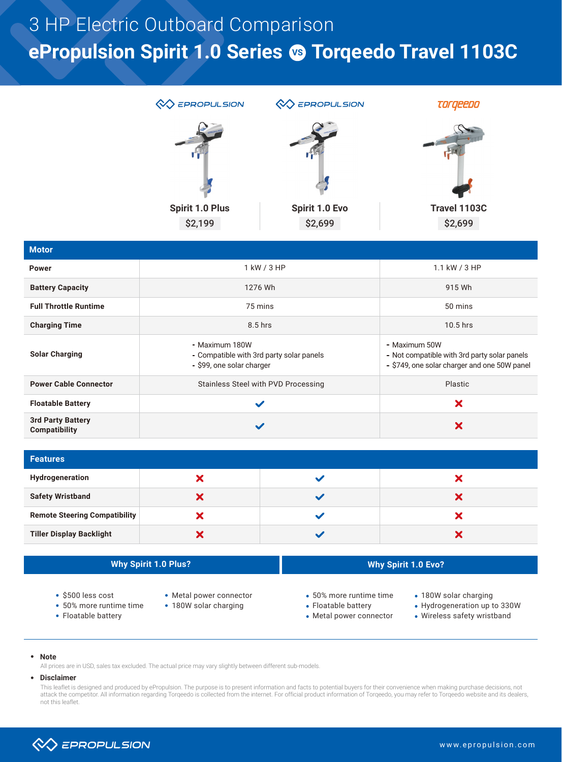# **ePropulsion Spirit 1.0 Series <sup>®</sup> Torqeedo Travel 1103C** 3 HP Electric Outboard Comparison



| <b>Motor</b>                              |                                                                                     |                                                                                                          |
|-------------------------------------------|-------------------------------------------------------------------------------------|----------------------------------------------------------------------------------------------------------|
| <b>Power</b>                              | 1 kW / 3 HP                                                                         | 1.1 kW / 3 HP                                                                                            |
| <b>Battery Capacity</b>                   | 1276 Wh                                                                             | 915 Wh                                                                                                   |
| <b>Full Throttle Runtime</b>              | 75 mins                                                                             | 50 mins                                                                                                  |
| <b>Charging Time</b>                      | $8.5$ hrs                                                                           | $10.5$ hrs                                                                                               |
| <b>Solar Charging</b>                     | Maximum 180W<br>- Compatible with 3rd party solar panels<br>\$99, one solar charger | - Maximum 50W<br>Not compatible with 3rd party solar panels<br>S749, one solar charger and one 50W panel |
| <b>Power Cable Connector</b>              | Stainless Steel with PVD Processing                                                 | Plastic                                                                                                  |
| <b>Floatable Battery</b>                  | $\checkmark$                                                                        | X                                                                                                        |
| <b>3rd Party Battery</b><br>Compatibility | $\checkmark$                                                                        | X                                                                                                        |

| <b>Features</b>                      |  |  |   |  |  |  |
|--------------------------------------|--|--|---|--|--|--|
| Hydrogeneration                      |  |  |   |  |  |  |
| <b>Safety Wristband</b>              |  |  | ↗ |  |  |  |
| <b>Remote Steering Compatibility</b> |  |  |   |  |  |  |
| <b>Tiller Display Backlight</b>      |  |  |   |  |  |  |

| <b>Why Spirit 1.0 Plus?</b>                                               |                                                  | <b>Why Spirit 1.0 Evo?</b>                                                |                                                                                      |
|---------------------------------------------------------------------------|--------------------------------------------------|---------------------------------------------------------------------------|--------------------------------------------------------------------------------------|
| $\cdot$ \$500 less cost<br>• 50% more runtime time<br>• Floatable battery | • Metal power connector<br>• 180W solar charging | • 50% more runtime time<br>• Floatable battery<br>• Metal power connector | • 180W solar charging<br>• Hydrogeneration up to 330W<br>• Wireless safety wristband |

**Note**

All prices are in USD, sales tax excluded. The actual price may vary slightly between different sub-models.

#### **Disclaimer**

This leaflet is designed and produced by ePropulsion. The purpose is to present information and facts to potential buyers for their convenience when making purchase decisions, not attack the competitor. All information regarding Torqeedo is collected from the internet. For official product information of Torqeedo, you may refer to Torqeedo website and its dealers, not this leaflet.